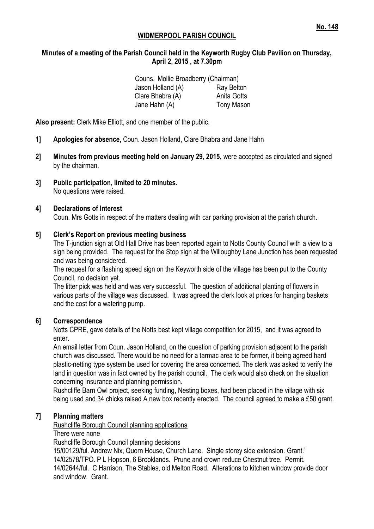## **WIDMERPOOL PARISH COUNCIL**

## **Minutes of a meeting of the Parish Council held in the Keyworth Rugby Club Pavilion on Thursday, April 2, 2015 , at 7.30pm**

| Couns. Mollie Broadberry (Chairman) |                   |
|-------------------------------------|-------------------|
| Jason Holland (A)                   | Ray Belton        |
| Clare Bhabra (A)                    | Anita Gotts       |
| Jane Hahn (A)                       | <b>Tony Mason</b> |

**Also present:** Clerk Mike Elliott, and one member of the public.

- **1] Apologies for absence,** Coun. Jason Holland, Clare Bhabra and Jane Hahn
- **2] Minutes from previous meeting held on January 29, 2015,** were accepted as circulated and signed by the chairman.
- **3] Public participation, limited to 20 minutes.** No questions were raised.

#### **4] Declarations of Interest**

Coun. Mrs Gotts in respect of the matters dealing with car parking provision at the parish church.

#### **5] Clerk's Report on previous meeting business**

The T-junction sign at Old Hall Drive has been reported again to Notts County Council with a view to a sign being provided. The request for the Stop sign at the Willoughby Lane Junction has been requested and was being considered.

The request for a flashing speed sign on the Keyworth side of the village has been put to the County Council, no decision yet.

The litter pick was held and was very successful. The question of additional planting of flowers in various parts of the village was discussed. It was agreed the clerk look at prices for hanging baskets and the cost for a watering pump.

#### **6] Correspondence**

Notts CPRE, gave details of the Notts best kept village competition for 2015, and it was agreed to enter.

An email letter from Coun. Jason Holland, on the question of parking provision adjacent to the parish church was discussed. There would be no need for a tarmac area to be former, it being agreed hard plastic-netting type system be used for covering the area concerned. The clerk was asked to verify the land in question was in fact owned by the parish council. The clerk would also check on the situation concerning insurance and planning permission.

Rushcliffe Barn Owl project, seeking funding, Nesting boxes, had been placed in the village with six being used and 34 chicks raised A new box recently erected. The council agreed to make a £50 grant.

#### **7] Planning matters**

Rushcliffe Borough Council planning applications

There were none

Rushcliffe Borough Council planning decisions

15/00129/ful. Andrew Nix, Quorn House, Church Lane. Single storey side extension. Grant.` 14/02578/TPO. P L Hopson, 6 Brooklands. Prune and crown reduce Chestnut tree. Permit. 14/02644/ful. C Harrison, The Stables, old Melton Road. Alterations to kitchen window provide door and window. Grant.